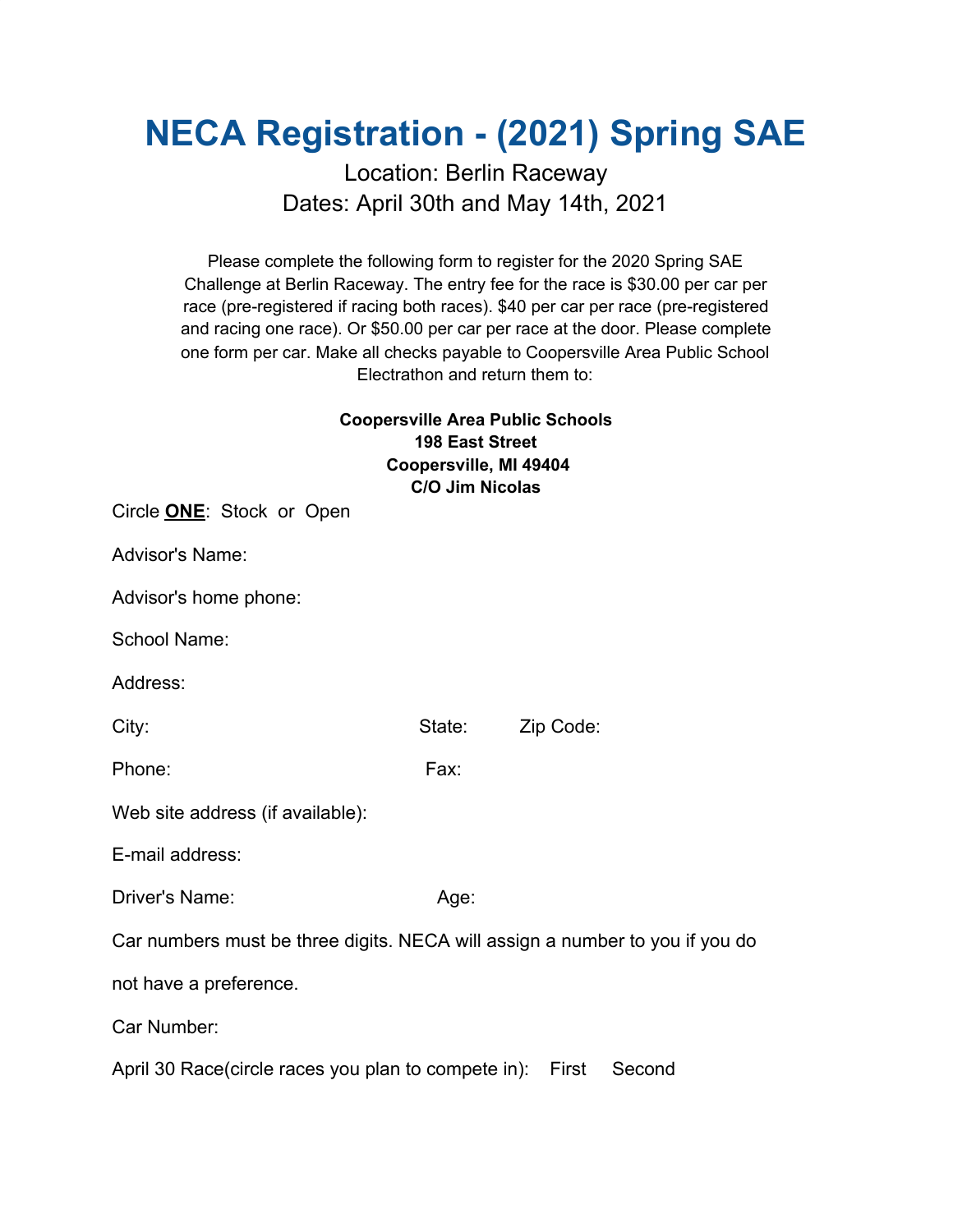## **NECA Registration - (2021) Spring SAE**

## Location: Berlin Raceway Dates: April 30th and May 14th, 2021

Please complete the following form to register for the 2020 Spring SAE Challenge at Berlin Raceway. The entry fee for the race is \$30.00 per car per race (pre-registered if racing both races). \$40 per car per race (pre-registered and racing one race). Or \$50.00 per car per race at the door. Please complete one form per car. Make all checks payable to Coopersville Area Public School Electrathon and return them to:

## **Coopersville Area Public Schools 198 East Street Coopersville, MI 49404 C/O Jim Nicolas**

| Circle <b>ONE</b> : Stock or Open                                            |        |           |        |
|------------------------------------------------------------------------------|--------|-----------|--------|
| Advisor's Name:                                                              |        |           |        |
| Advisor's home phone:                                                        |        |           |        |
| School Name:                                                                 |        |           |        |
| Address:                                                                     |        |           |        |
| City:                                                                        | State: | Zip Code: |        |
| Phone:                                                                       | Fax:   |           |        |
| Web site address (if available):                                             |        |           |        |
| E-mail address:                                                              |        |           |        |
| Driver's Name:                                                               | Age:   |           |        |
| Car numbers must be three digits. NECA will assign a number to you if you do |        |           |        |
| not have a preference.                                                       |        |           |        |
| Car Number:                                                                  |        |           |        |
| April 30 Race(circle races you plan to compete in): First                    |        |           | Second |